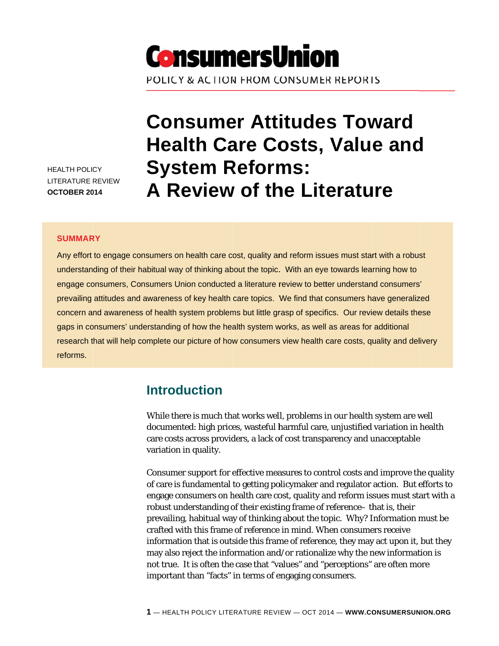

HEALTH POLICY LITERATURE R REVIEW **OCTOBER 2014** 

# **Consumer Attitudes Toward Health Care Costs, Value and System Reforms: A Review of the Literature**

#### **SUMMAR RY**

Any effort to engage consumers on health care cost, quality and reform issues must start with a robust understanding of their habitual way of thinking about the topic. With an eye towards learning how to engage consumers, Consumers Union conducted a literature review to better understand consumers' prevailing attitudes and awareness of key health care topics. We find that consumers have generalized concern and awareness of health system problems but little grasp of specifics. Our review details these gaps in consumers' understanding of how the health system works, as well as areas for additional research that will help complete our picture of how consumers view health care costs, quality and delivery reforms.

### **Introduction**

While there is much that works well, problems in our health system are well documented: high prices, wasteful harmful care, unjustified variation in health care costs across providers, a lack of cost transparency and unacceptable variation in n quality. care costs across providers, a lack of cost transparency and unacceptable<br>variation in quality.<br>Consumer support for effective measures to control costs and improve the quality

of care is fundamental to getting policymaker and regulator action. But efforts to engage consumers on health care cost, quality and reform issues must start with a robust understanding of their existing frame of reference– that is, their prevailing, habitual way of thinking about the topic. Why? Information must be crafted wit th this frame of reference in mind. Wh hen consume ers receive information that is *outside* this frame of reference, they may act upon it, but they may also reject the information and/or rationalize why the new information is not true. It is often the case that "values" and "perceptions" are often more important than "facts" in terms of engaging consumers.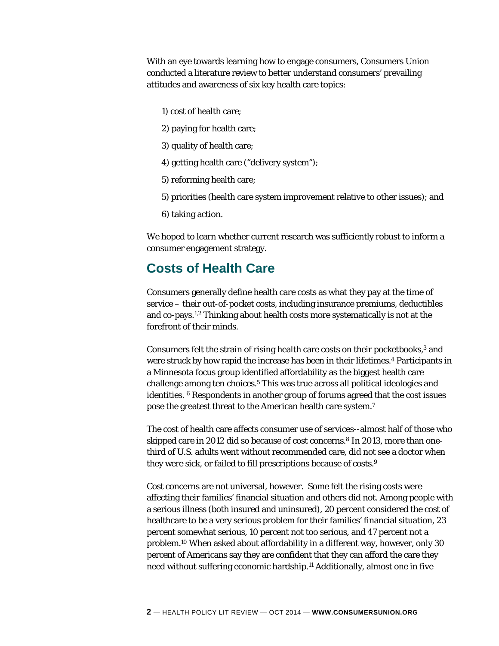With an eye towards learning how to engage consumers, Consumers Union conducted a literature review to better understand consumers' prevailing attitudes and awareness of six key health care topics:

- 1) cost of health care;
- 2) paying for health care;
- 3) quality of health care;
- 4) getting health care ("delivery system");
- 5) reforming health care;
- 5) priorities (health care system improvement relative to other issues); and
- 6) taking action.

We hoped to learn whether current research was sufficiently robust to inform a consumer engagement strategy.

### **Costs of Health Care**

Consumers generally define health care costs as what they pay at the time of service – their out-of-pocket costs, including insurance premiums, deductibles and co-pays.1,2 Thinking about health costs more systematically is not at the forefront of their minds.

Consumers felt the strain of rising health care costs on their pocketbooks,<sup>3</sup> and were struck by how rapid the increase has been in their lifetimes.<sup>4</sup> Participants in a Minnesota focus group identified affordability as the biggest health care challenge among ten choices.<sup>5</sup> This was true across all political ideologies and identities. 6 Respondents in another group of forums agreed that the cost issues pose the greatest threat to the American health care system.7

The cost of health care affects consumer use of services--almost half of those who skipped care in 2012 did so because of cost concerns.<sup>8</sup> In 2013, more than onethird of U.S. adults went without recommended care, did not see a doctor when they were sick, or failed to fill prescriptions because of costs.9

Cost concerns are not universal, however. Some felt the rising costs were affecting their families' financial situation and others did not. Among people with a serious illness (both insured and uninsured), 20 percent considered the cost of healthcare to be a very serious problem for their families' financial situation, 23 percent somewhat serious, 10 percent not too serious, and 47 percent not a problem.10 When asked about affordability in a different way, however, only 30 percent of Americans say they are confident that they can afford the care they need without suffering economic hardship.11 Additionally, almost one in five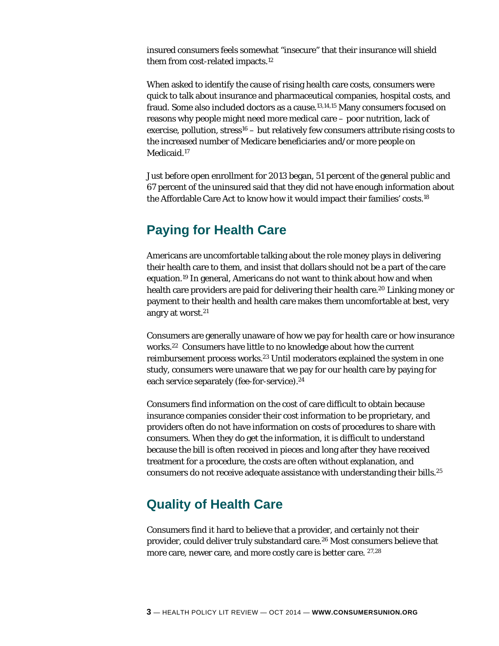insured consumers feels somewhat "insecure" that their insurance will shield them from cost-related impacts.12

When asked to identify the cause of rising health care costs, consumers were quick to talk about insurance and pharmaceutical companies, hospital costs, and fraud. Some also included doctors as a cause.13,14,15 Many consumers focused on reasons why people might need more medical care – poor nutrition, lack of exercise, pollution,  $stress<sup>16</sup> - but relatively few consumers attribute rising costs to$ the increased number of Medicare beneficiaries and/or more people on Medicaid.<sup>17</sup>

Just before open enrollment for 2013 began, 51 percent of the general public and 67 percent of the uninsured said that they did not have enough information about the Affordable Care Act to know how it would impact their families' costs.18

### **Paying for Health Care**

Americans are uncomfortable talking about the role money plays in delivering their health care to them, and insist that dollars should not be a part of the care equation.19 In general, Americans do not want to think about how and when health care providers are paid for delivering their health care.20 Linking money or payment to their health and health care makes them uncomfortable at best, very angry at worst.21

Consumers are generally unaware of how we pay for health care or how insurance works.22 Consumers have little to no knowledge about how the current reimbursement process works.23 Until moderators explained the system in one study, consumers were unaware that we pay for our health care by paying for each service separately (fee-for-service).<sup>24</sup>

Consumers find information on the cost of care difficult to obtain because insurance companies consider their cost information to be proprietary, and providers often do not have information on costs of procedures to share with consumers. When they do get the information, it is difficult to understand because the bill is often received in pieces and long after they have received treatment for a procedure, the costs are often without explanation, and consumers do not receive adequate assistance with understanding their bills.25

### **Quality of Health Care**

Consumers find it hard to believe that a provider, and certainly not their provider, could deliver truly substandard care.26 Most consumers believe that more care, newer care, and more costly care is better care. 27,28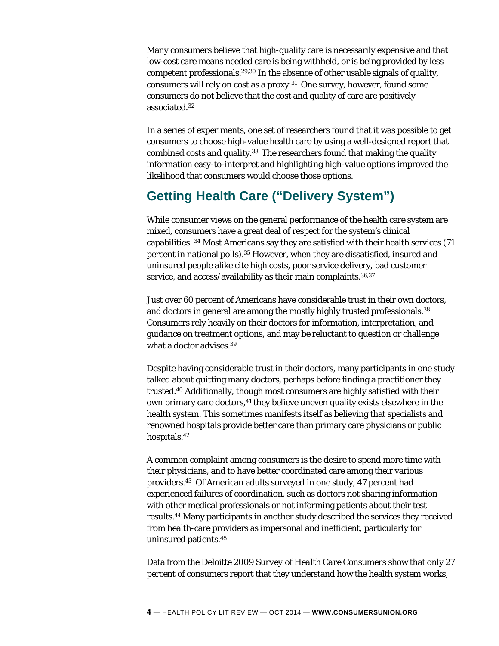Many consumers believe that high-quality care is necessarily expensive and that low-cost care means needed care is being withheld, or is being provided by less competent professionals.29,30 In the absence of other usable signals of quality, consumers will rely on cost as a proxy.31 One survey, however, found some consumers do not believe that the cost and quality of care are positively associated.32

In a series of experiments, one set of researchers found that it was possible to get consumers to choose high-value health care by using a well-designed report that combined costs and quality.33 The researchers found that making the quality information easy-to-interpret and highlighting high-value options improved the likelihood that consumers would choose those options.

### **Getting Health Care ("Delivery System")**

While consumer views on the general performance of the health care system are mixed, consumers have a great deal of respect for the system's clinical capabilities. 34 Most Americans say they are satisfied with their health services (71 percent in national polls).35 However, when they are dissatisfied, insured and uninsured people alike cite high costs, poor service delivery, bad customer service, and access/availability as their main complaints.<sup>36,37</sup>

Just over 60 percent of Americans have considerable trust in their own doctors, and doctors in general are among the mostly highly trusted professionals.<sup>38</sup> Consumers rely heavily on their doctors for information, interpretation, and guidance on treatment options, and may be reluctant to question or challenge what a doctor advises.<sup>39</sup>

Despite having considerable trust in their doctors, many participants in one study talked about quitting many doctors, perhaps before finding a practitioner they trusted.40 Additionally, though most consumers are highly satisfied with their own primary care doctors,<sup>41</sup> they believe uneven quality exists elsewhere in the health system. This sometimes manifests itself as believing that specialists and renowned hospitals provide better care than primary care physicians or public hospitals.42

A common complaint among consumers is the desire to spend more time with their physicians, and to have better coordinated care among their various providers.43 Of American adults surveyed in one study, 47 percent had experienced failures of coordination, such as doctors not sharing information with other medical professionals or not informing patients about their test results.44 Many participants in another study described the services they received from health-care providers as impersonal and inefficient, particularly for uninsured patients.45

Data from the Deloitte *2009 Survey of Health Care Consumers* show that only 27 percent of consumers report that they understand how the health system works,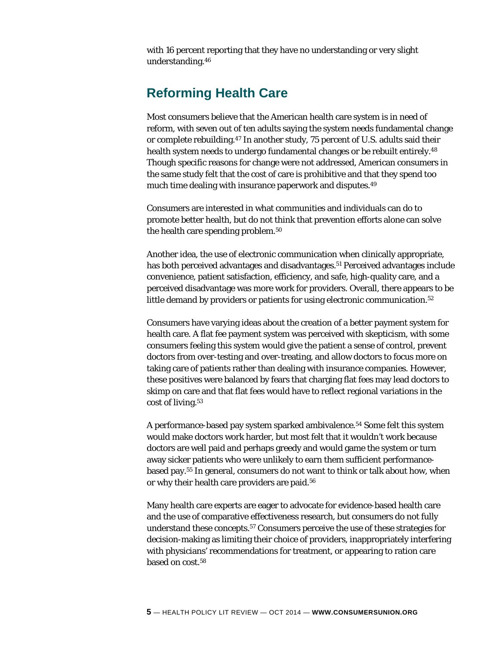with 16 percent reporting that they have no understanding or very slight understanding.46

### **Reforming Health Care**

Most consumers believe that the American health care system is in need of reform, with seven out of ten adults saying the system needs fundamental change or complete rebuilding.47 In another study, 75 percent of U.S. adults said their health system needs to undergo fundamental changes or be rebuilt entirely.<sup>48</sup> Though specific reasons for change were not addressed, American consumers in the same study felt that the cost of care is prohibitive and that they spend too much time dealing with insurance paperwork and disputes.49

Consumers are interested in what communities and individuals can do to promote better health, but do not think that prevention efforts alone can solve the health care spending problem.50

Another idea, the use of electronic communication when clinically appropriate, has both perceived advantages and disadvantages.51 Perceived advantages include convenience, patient satisfaction, efficiency, and safe, high-quality care, and a perceived disadvantage was more work for providers. Overall, there appears to be little demand by providers or patients for using electronic communication.<sup>52</sup>

Consumers have varying ideas about the creation of a better payment system for health care. A flat fee payment system was perceived with skepticism, with some consumers feeling this system would give the patient a sense of control, prevent doctors from over-testing and over-treating, and allow doctors to focus more on taking care of patients rather than dealing with insurance companies. However, these positives were balanced by fears that charging flat fees may lead doctors to skimp on care and that flat fees would have to reflect regional variations in the cost of living.53

A performance-based pay system sparked ambivalence.<sup>54</sup> Some felt this system would make doctors work harder, but most felt that it wouldn't work because doctors are well paid and perhaps greedy and would game the system or turn away sicker patients who were unlikely to earn them sufficient performancebased pay.55 In general, consumers do not want to think or talk about how, when or why their health care providers are paid.56

Many health care experts are eager to advocate for evidence-based health care and the use of comparative effectiveness research, but consumers do not fully understand these concepts.57 Consumers perceive the use of these strategies for decision-making as limiting their choice of providers, inappropriately interfering with physicians' recommendations for treatment, or appearing to ration care based on cost.58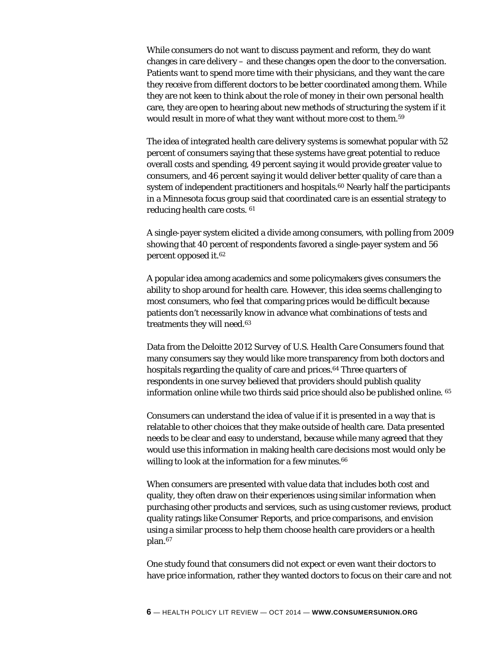While consumers do not want to discuss payment and reform, they do want changes in care delivery – and these changes open the door to the conversation. Patients want to spend more time with their physicians, and they want the care they receive from different doctors to be better coordinated among them. While they are not keen to think about the role of money in their own personal health care, they are open to hearing about new methods of structuring the system if it would result in more of what they want without more cost to them.59

The idea of integrated health care delivery systems is somewhat popular with 52 percent of consumers saying that these systems have great potential to reduce overall costs and spending, 49 percent saying it would provide greater value to consumers, and 46 percent saying it would deliver better quality of care than a system of independent practitioners and hospitals.<sup>60</sup> Nearly half the participants in a Minnesota focus group said that coordinated care is an essential strategy to reducing health care costs. 61

A single-payer system elicited a divide among consumers, with polling from 2009 showing that 40 percent of respondents favored a single-payer system and 56 percent opposed it.62

A popular idea among academics and some policymakers gives consumers the ability to shop around for health care. However, this idea seems challenging to most consumers, who feel that comparing prices would be difficult because patients don't necessarily know in advance what combinations of tests and treatments they will need.63

Data from the Deloitte *2012 Survey of U.S. Health Care Consumers* found that many consumers say they would like more transparency from both doctors and hospitals regarding the quality of care and prices.<sup>64</sup> Three quarters of respondents in one survey believed that providers should publish quality information online while two thirds said price should also be published online. 65

Consumers can understand the idea of value if it is presented in a way that is relatable to other choices that they make outside of health care. Data presented needs to be clear and easy to understand, because while many agreed that they would use this information in making health care decisions most would only be willing to look at the information for a few minutes.<sup>66</sup>

When consumers are presented with value data that includes both cost and quality, they often draw on their experiences using similar information when purchasing other products and services, such as using customer reviews, product quality ratings like *Consumer Reports*, and price comparisons, and envision using a similar process to help them choose health care providers or a health plan.67

One study found that consumers did not expect or even want their doctors to have price information, rather they wanted doctors to focus on their care and not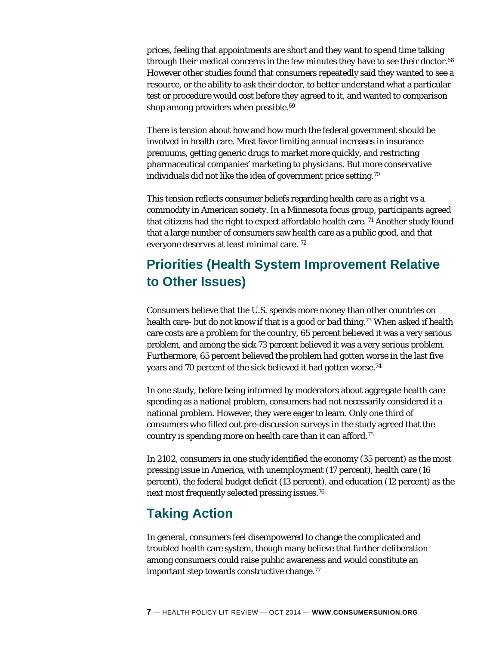prices, feeling that appointments are short and they want to spend time talking through their medical concerns in the few minutes they have to see their doctor.<sup>68</sup> However other studies found that consumers repeatedly said they wanted to see a resource, or the ability to ask their doctor, to better understand what a particular test or procedure would cost before they agreed to it, and wanted to comparison shop among providers when possible.<sup>69</sup>

There is tension about how and how much the federal government should be involved in health care. Most favor limiting annual increases in insurance premiums, getting generic drugs to market more quickly, and restricting pharmaceutical companies' marketing to physicians. But more conservative individuals did not like the idea of government price setting.70

This tension reflects consumer beliefs regarding health care as a right vs a commodity in American society. In a Minnesota focus group, participants agreed that citizens had the right to expect affordable health care. 71 Another study found that a large number of consumers saw health care as a public good, and that everyone deserves at least minimal care. 72

### **Priorities (Health System Improvement Relative to Other Issues)**

Consumers believe that the U.S. spends more money than other countries on health care- but do not know if that is a good or bad thing.<sup>73</sup> When asked if health care costs are a problem for the country, 65 percent believed it was a very serious problem, and among the sick 73 percent believed it was a very serious problem. Furthermore, 65 percent believed the problem had gotten worse in the last five years and 70 percent of the sick believed it had gotten worse.<sup>74</sup>

In one study, before being informed by moderators about aggregate health care spending as a national problem, consumers had not necessarily considered it a national problem. However, they were eager to learn. Only one third of consumers who filled out pre-discussion surveys in the study agreed that the country is spending more on health care than it can afford.75

In 2102, consumers in one study identified the economy (35 percent) as the most pressing issue in America, with unemployment (17 percent), health care (16 percent), the federal budget deficit (13 percent), and education (12 percent) as the next most frequently selected pressing issues.76

### **Taking Action**

In general, consumers feel disempowered to change the complicated and troubled health care system, though many believe that further deliberation among consumers could raise public awareness and would constitute an important step towards constructive change.<sup>77</sup>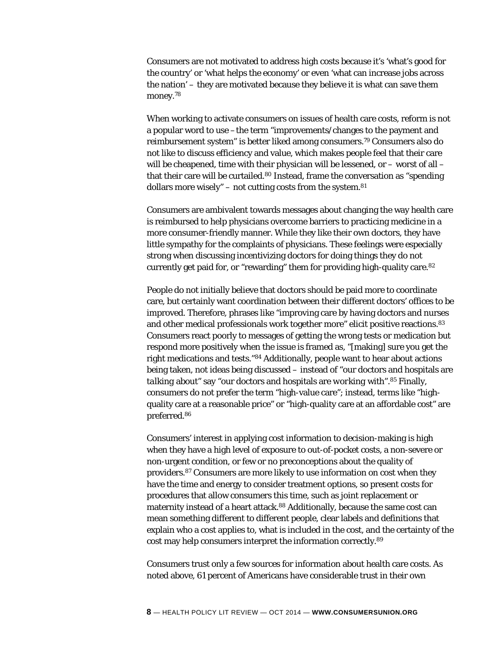Consumers are not motivated to address high costs because it's 'what's good for the country' or 'what helps the economy' or even 'what can increase jobs across the nation' – they are motivated because they believe it is what can save them money.78

When working to activate consumers on issues of health care costs, reform is not a popular word to use –the term "improvements/changes to the payment and reimbursement system" is better liked among consumers.79 Consumers also do not like to discuss efficiency and value, which makes people feel that their care will be cheapened, time with their physician will be lessened, or - worst of all that their care will be curtailed.<sup>80</sup> Instead, frame the conversation as "spending" dollars more wisely" – not cutting costs from the system.<sup>81</sup>

Consumers are ambivalent towards messages about changing the way health care is reimbursed to help physicians overcome barriers to practicing medicine in a more consumer-friendly manner. While they like their own doctors, they have little sympathy for the complaints of physicians. These feelings were especially strong when discussing incentivizing doctors for doing things they do not currently get paid for, or "rewarding" them for providing high-quality care.82

People do not initially believe that doctors should be paid more to coordinate care, but certainly want coordination between their different doctors' offices to be improved. Therefore, phrases like "improving care by having doctors and nurses and other medical professionals work together more" elicit positive reactions.<sup>83</sup> Consumers react poorly to messages of getting the wrong tests or medication but respond more positively when the issue is framed as, "[making] sure you get the right medications and tests."84 Additionally, people want to hear about actions being taken, not ideas being discussed – instead of "our doctors and hospitals are *talking* about" say "our doctors and hospitals are *working* with".85 Finally, consumers do not prefer the term "high-value care"; instead, terms like "highquality care at a reasonable price" or "high-quality care at an affordable cost" are preferred.86

Consumers' interest in applying cost information to decision-making is high when they have a high level of exposure to out-of-pocket costs, a non-severe or non-urgent condition, or few or no preconceptions about the quality of providers.87 Consumers are more likely to use information on cost when they have the time and energy to consider treatment options, so present costs for procedures that allow consumers this time, such as joint replacement or maternity instead of a heart attack.<sup>88</sup> Additionally, because the same cost can mean something different to different people, clear labels and definitions that explain who a cost applies to, what is included in the cost, and the certainty of the cost may help consumers interpret the information correctly.89

Consumers trust only a few sources for information about health care costs. As noted above, 61 percent of Americans have considerable trust in their own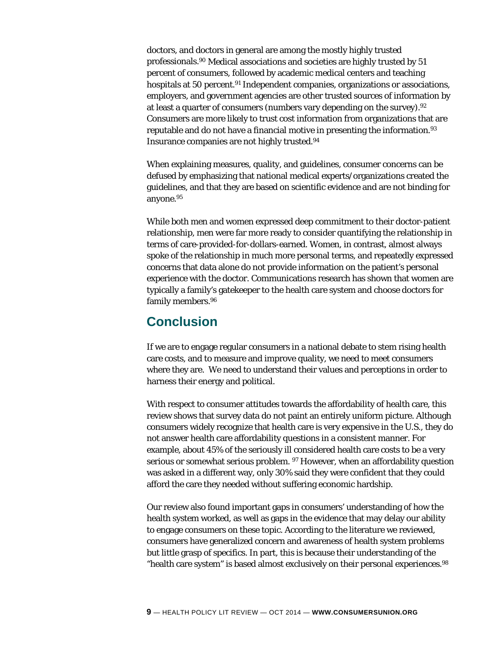doctors, and doctors in general are among the mostly highly trusted professionals.90 Medical associations and societies are highly trusted by 51 percent of consumers, followed by academic medical centers and teaching hospitals at 50 percent.<sup>91</sup> Independent companies, organizations or associations, employers, and government agencies are other trusted sources of information by at least a quarter of consumers (numbers vary depending on the survey).92 Consumers are more likely to trust cost information from organizations that are reputable and do not have a financial motive in presenting the information.<sup>93</sup> Insurance companies are not highly trusted.94

When explaining measures, quality, and guidelines, consumer concerns can be defused by emphasizing that national medical experts/organizations created the guidelines, and that they are based on scientific evidence and are not binding for anyone.95

While both men and women expressed deep commitment to their doctor-patient relationship, men were far more ready to consider quantifying the relationship in terms of care-provided-for-dollars-earned. Women, in contrast, almost always spoke of the relationship in much more personal terms, and repeatedly expressed concerns that data alone do not provide information on the patient's personal experience with the doctor. Communications research has shown that women are typically a family's gatekeeper to the health care system and choose doctors for family members.96

### **Conclusion**

If we are to engage regular consumers in a national debate to stem rising health care costs, and to measure and improve quality, we need to meet consumers where they are. We need to understand their values and perceptions in order to harness their energy and political.

With respect to consumer attitudes towards the affordability of health care, this review shows that survey data do not paint an entirely uniform picture. Although consumers widely recognize that health care is very expensive in the U.S., they do not answer health care affordability questions in a consistent manner. For example, about 45% of the seriously ill considered health care costs to be a very serious or somewhat serious problem. 97 However, when an affordability question was asked in a different way, only 30% said they were confident that they could afford the care they needed without suffering economic hardship.

Our review also found important gaps in consumers' understanding of how the health system worked, as well as gaps in the evidence that may delay our ability to engage consumers on these topic. According to the literature we reviewed, consumers have generalized concern and awareness of health system problems but little grasp of specifics. In part, this is because their understanding of the "health care system" is based almost exclusively on their personal experiences.<sup>98</sup>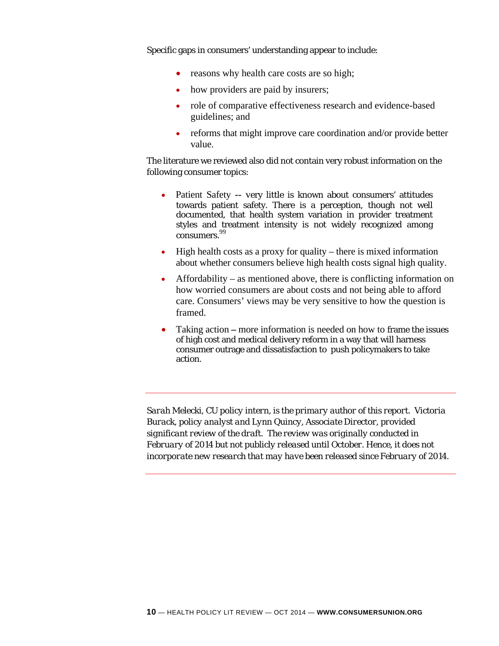Specific gaps in consumers' understanding appear to include:

- reasons why health care costs are so high;
- how providers are paid by insurers;
- role of comparative effectiveness research and evidence-based guidelines; and
- reforms that might improve care coordination and/or provide better value.

The literature we reviewed also did not contain very robust information on the following consumer topics:

- Patient Safety **--** very little is known about consumers' attitudes towards patient safety. There is a perception, though not well documented, that health system variation in provider treatment styles and treatment intensity is not widely recognized among consumers. 99
- High health costs as a proxy for quality there is mixed information about whether consumers believe high health costs signal high quality.
- $\bullet$  Affordability as mentioned above, there is conflicting information on how worried consumers are about costs and not being able to afford care. Consumers' views may be very sensitive to how the question is framed.
- Taking actionmore information is needed on how to frame the issues of high cost and medical delivery reform in a way that will harness consumer outrage and dissatisfaction to push policymakers to take action.

*Sarah Melecki, CU policy intern, is the primary author of this report. Victoria Burack, policy analyst and Lynn Quincy, Associate Director, provided significant review of the draft. The review was originally conducted in February of 2014 but not publicly released until October. Hence, it does not incorporate new research that may have been released since February of 2014.*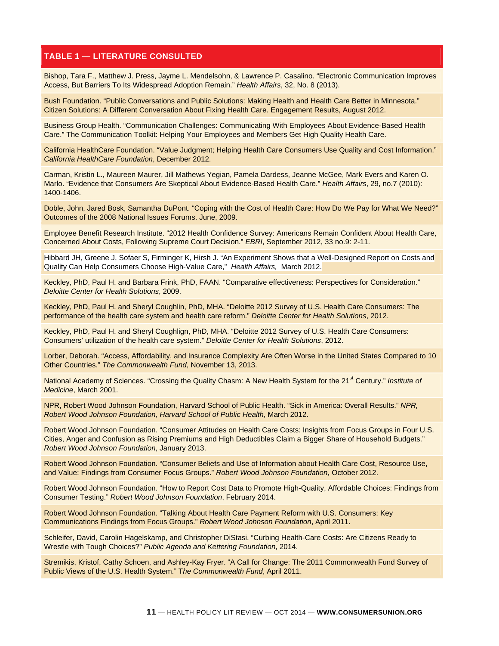#### **TABLE 1 — LITERATURE CONSULTED**

Bishop, Tara F., Matthew J. Press, Jayme L. Mendelsohn, & Lawrence P. Casalino. "Electronic Communication Improves Access, But Barriers To Its Widespread Adoption Remain." *Health Affairs*, 32, No. 8 (2013).

Bush Foundation. "Public Conversations and Public Solutions: Making Health and Health Care Better in Minnesota." Citizen Solutions: A Different Conversation About Fixing Health Care. Engagement Results, August 2012.

Business Group Health. "Communication Challenges: Communicating With Employees About Evidence-Based Health Care." The Communication Toolkit: Helping Your Employees and Members Get High Quality Health Care.

California HealthCare Foundation. "Value Judgment; Helping Health Care Consumers Use Quality and Cost Information." *California HealthCare Foundation*, December 2012.

Carman, Kristin L., Maureen Maurer, Jill Mathews Yegian, Pamela Dardess, Jeanne McGee, Mark Evers and Karen O. Marlo. "Evidence that Consumers Are Skeptical About Evidence-Based Health Care." *Health Affairs*, 29, no.7 (2010): 1400-1406.

Doble, John, Jared Bosk, Samantha DuPont. "Coping with the Cost of Health Care: How Do We Pay for What We Need?" Outcomes of the 2008 National Issues Forums. June, 2009.

Employee Benefit Research Institute. "2012 Health Confidence Survey: Americans Remain Confident About Health Care, Concerned About Costs, Following Supreme Court Decision." *EBRI*, September 2012, 33 no.9: 2-11.

Hibbard JH, Greene J, Sofaer S, Firminger K, Hirsh J. "An Experiment Shows that a Well-Designed Report on Costs and Quality Can Help Consumers Choose High-Value Care," *Health Affairs,* March 2012.

Keckley, PhD, Paul H. and Barbara Frink, PhD, FAAN. "Comparative effectiveness: Perspectives for Consideration." *Deloitte Center for Health Solutions*, 2009.

Keckley, PhD, Paul H. and Sheryl Coughlin, PhD, MHA. "Deloitte 2012 Survey of U.S. Health Care Consumers: The performance of the health care system and health care reform." *Deloitte Center for Health Solutions*, 2012.

Keckley, PhD, Paul H. and Sheryl Coughlign, PhD, MHA. "Deloitte 2012 Survey of U.S. Health Care Consumers: Consumers' utilization of the health care system." *Deloitte Center for Health Solutions*, 2012.

Lorber, Deborah. "Access, Affordability, and Insurance Complexity Are Often Worse in the United States Compared to 10 Other Countries." *The Commonwealth Fund*, November 13, 2013.

National Academy of Sciences. "Crossing the Quality Chasm: A New Health System for the 21<sup>st</sup> Century." *Institute of Medicine*, March 2001.

NPR, Robert Wood Johnson Foundation, Harvard School of Public Health. "Sick in America: Overall Results." *NPR, Robert Wood Johnson Foundation, Harvard School of Public Health*, March 2012.

Robert Wood Johnson Foundation. "Consumer Attitudes on Health Care Costs: Insights from Focus Groups in Four U.S. Cities, Anger and Confusion as Rising Premiums and High Deductibles Claim a Bigger Share of Household Budgets." *Robert Wood Johnson Foundation*, January 2013.

Robert Wood Johnson Foundation. "Consumer Beliefs and Use of Information about Health Care Cost, Resource Use, and Value: Findings from Consumer Focus Groups." *Robert Wood Johnson Foundation*, October 2012.

Robert Wood Johnson Foundation. "How to Report Cost Data to Promote High-Quality, Affordable Choices: Findings from Consumer Testing." *Robert Wood Johnson Foundation*, February 2014.

Robert Wood Johnson Foundation. "Talking About Health Care Payment Reform with U.S. Consumers: Key Communications Findings from Focus Groups." *Robert Wood Johnson Foundation*, April 2011.

Schleifer, David, Carolin Hagelskamp, and Christopher DiStasi. "Curbing Health-Care Costs: Are Citizens Ready to Wrestle with Tough Choices?" *Public Agenda and Kettering Foundation*, 2014.

Stremikis, Kristof, Cathy Schoen, and Ashley-Kay Fryer. "A Call for Change: The 2011 Commonwealth Fund Survey of Public Views of the U.S. Health System." T*he Commonwealth Fund*, April 2011.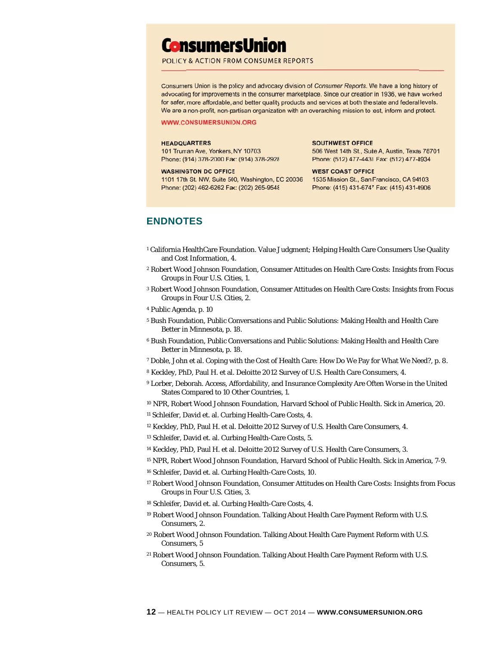## **ConsumersUnion**

#### POLICY & ACTION FROM CONSUMER REPORTS

Consumers Union is the policy and advocacy division of Consumer Reports. We have a long history of advocating for improvements in the consumer marketplace. Since our creation in 1936, we have worked for safer, more affordable, and better quality products and services at both the state and federal levels. We are a non-profit, non-partisan organization with an overarching mission to test, inform and protect.

#### **WWW.CONSUMERSUNION.ORG**

#### **HEADQUARTERS**

101 Truman Ave, Yonkers, NY 10703 Phone: (914) 378-2000 Fax: (914) 378-2928

#### **WASHINGTON DC OFFICE**

1101 17th St. NW, Suite 500, Washington, DC 20036 Phone: (202) 462-6262 Fax: (202) 265-9548

#### **SOUTHWEST OFFICE** 506 West 14th St., Suite A, Austin, Texas 78701 Phone: (512) 477-4431 Fax: (512) 477-8934

**WEST COAST OFFICE** 1535 Mission St., San Francisco, CA 94103 Phone: (415) 431-6747 Fax: (415) 431-0906

#### **ENDNOT TES**

- <sup>1</sup> California HealthCare Foundation. Value Judgment; Helping Health Care Consumers Us and Cost Information, 4.
- 2 Robert Wood Johnson Foundation, Consumer Attitudes on Health Care Costs: Insights from Focus Groups in Four U.S. Cities, 1. ise Quality<br>from Focu<br>from Focu<br>from Focu<br>h Care<br>eed?, p. 8.<br>he United<br>erica, 20.<br>Frica, 7-9.<br>from Focu<br>J.S.<br>J.S.<br>J.S.
- <sup>3</sup> Robert Wood Johnson Foundation, Consumer Attitudes on Health Care Costs: Insights from Focus Groups in Four U.S. Cities, 2.
- <sup>4</sup> Public Agenda, p. 10
- <sup>5</sup> Bush Foundation, Public Conversations and Public Solutions: Making Health and Health Care Better in Minnesota, p. 18.
- <sup>6</sup> Bush Foundation, Public Conversations and Public Solutions: Making Health and Health Care Better in Minnesota, p. 18.
- $^7$  Doble, John et al. Coping with the Cost of Health Care: How Do We Pay for What We Need?, p. 8.
- <sup>8</sup> Keckley, PhD, Paul H. et al. Deloitte 2012 Survey of U.S. Health Care Consumers, 4.
- <sup>9</sup> Lorber, Deborah. Access, Affordability, and Insurance Complexity Are Often Worse in the United States Compared to 10 Other Countries, 1.
- <sup>10</sup> NPR, Robert Wood Johnson Foundation, Harvard School of Public Health. Sick in America, 20.
- <sup>11</sup> Schleifer, David et. al. Curbing Health-Care Costs, 4.
- <sup>12</sup> Keckley, PhD, Paul H. et al. Deloitte 2012 Survey of U.S. Health Care Consumers, 4.
- <sup>13</sup> Schleifer, David et. al. Curbing Health-Care Costs, 5.
- <sup>14</sup> Keckley, PhD, Paul H. et al. Deloitte 2012 Survey of U.S. Health Care Consumers, 3.
- <sup>15</sup> NPR, Robert Wood Johnson Foundation, Harvard School of Public Health. Sick in America, 7-9.
- <sup>16</sup> Schleifer, David et. al. Curbing Health-Care Costs, 10.
- <sup>17</sup> Robert Wood Johnson Foundation, Consumer Attitudes on Health Care Costs: Insights from Focus Groups in Four U.S. Cities, 3.
- <sup>18</sup> Schleifer, David et. al. Curbing Health-Care Costs, 4.
- <sup>19</sup> Robert Wood Johnson Foundation. Talking About Health Care Payment Reform with U.S. Consumers, 2.
- <sup>20</sup> Robert Wood Johnson Foundation. Talking About Health Care Payment Reform with U.S. Consumers, 5
- <sup>21</sup> Robert Wood Johnson Foundation. Talking About Health Care Payment Reform with U.S. Consumers, 5.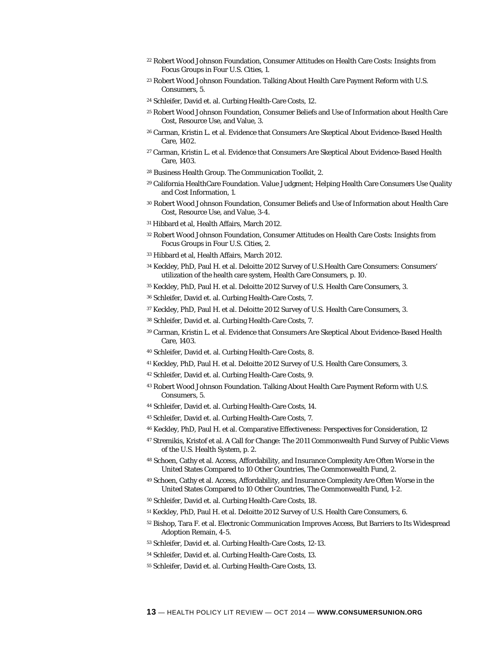- 22 Robert Wood Johnson Foundation, Consumer Attitudes on Health Care Costs: Insights from Focus Groups in Four U.S. Cities, 1.
- 23 Robert Wood Johnson Foundation. Talking About Health Care Payment Reform with U.S. Consumers, 5.
- 24 Schleifer, David et. al. Curbing Health-Care Costs, 12.
- 25 Robert Wood Johnson Foundation, Consumer Beliefs and Use of Information about Health Care Cost, Resource Use, and Value, 3.
- 26 Carman, Kristin L. et al. Evidence that Consumers Are Skeptical About Evidence-Based Health Care, 1402.
- 27 Carman, Kristin L. et al. Evidence that Consumers Are Skeptical About Evidence-Based Health Care, 1403.
- 28 Business Health Group. The Communication Toolkit, 2.
- 29 California HealthCare Foundation. Value Judgment; Helping Health Care Consumers Use Quality and Cost Information, 1.
- 30 Robert Wood Johnson Foundation, Consumer Beliefs and Use of Information about Health Care Cost, Resource Use, and Value, 3-4.
- 31 Hibbard et al, Health Affairs, March 2012.
- 32 Robert Wood Johnson Foundation, Consumer Attitudes on Health Care Costs: Insights from Focus Groups in Four U.S. Cities, 2.
- 33 Hibbard et al, Health Affairs, March 2012.
- 34 Keckley, PhD, Paul H. et al. Deloitte 2012 Survey of U.S.Health Care Consumers: Consumers' utilization of the health care system, Health Care Consumers, p. 10.
- 35 Keckley, PhD, Paul H. et al. Deloitte 2012 Survey of U.S. Health Care Consumers, 3.
- 36 Schleifer, David et. al. Curbing Health-Care Costs, 7.
- 37 Keckley, PhD, Paul H. et al. Deloitte 2012 Survey of U.S. Health Care Consumers, 3.
- 38 Schleifer, David et. al. Curbing Health-Care Costs, 7.
- 39 Carman, Kristin L. et al. Evidence that Consumers Are Skeptical About Evidence-Based Health Care, 1403.
- 40 Schleifer, David et. al. Curbing Health-Care Costs, 8.
- 41 Keckley, PhD, Paul H. et al. Deloitte 2012 Survey of U.S. Health Care Consumers, 3.
- 42 Schleifer, David et. al. Curbing Health-Care Costs, 9.
- 43 Robert Wood Johnson Foundation. Talking About Health Care Payment Reform with U.S. Consumers, 5.
- 44 Schleifer, David et. al. Curbing Health-Care Costs, 14.
- 45 Schleifer, David et. al. Curbing Health-Care Costs, 7.
- 46 Keckley, PhD, Paul H. et al. Comparative Effectiveness: Perspectives for Consideration, 12
- 47 Stremikis, Kristof et al. A Call for Change: The 2011 Commonwealth Fund Survey of Public Views of the U.S. Health System, p. 2.
- 48 Schoen, Cathy et al. Access, Affordability, and Insurance Complexity Are Often Worse in the United States Compared to 10 Other Countries, The Commonwealth Fund, 2.
- 49 Schoen, Cathy et al. Access, Affordability, and Insurance Complexity Are Often Worse in the United States Compared to 10 Other Countries, The Commonwealth Fund, 1-2.
- 50 Schleifer, David et. al. Curbing Health-Care Costs, 18.
- 51 Keckley, PhD, Paul H. et al. Deloitte 2012 Survey of U.S. Health Care Consumers, 6.
- 52 Bishop, Tara F. et al. Electronic Communication Improves Access, But Barriers to Its Widespread Adoption Remain, 4-5.
- 53 Schleifer, David et. al. Curbing Health-Care Costs, 12-13.
- 54 Schleifer, David et. al. Curbing Health-Care Costs, 13.
- 55 Schleifer, David et. al. Curbing Health-Care Costs, 13.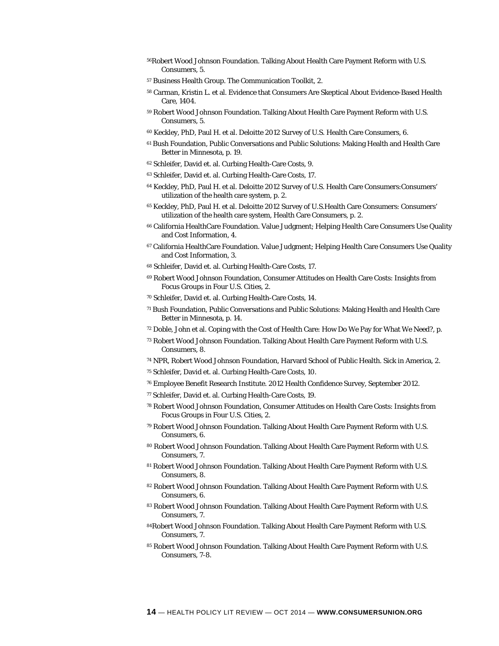- 56Robert Wood Johnson Foundation. Talking About Health Care Payment Reform with U.S. Consumers, 5.
- 57 Business Health Group. The Communication Toolkit, 2.
- 58 Carman, Kristin L. et al. Evidence that Consumers Are Skeptical About Evidence-Based Health Care, 1404.
- 59 Robert Wood Johnson Foundation. Talking About Health Care Payment Reform with U.S. Consumers, 5.
- 60 Keckley, PhD, Paul H. et al. Deloitte 2012 Survey of U.S. Health Care Consumers, 6.
- 61 Bush Foundation, Public Conversations and Public Solutions: Making Health and Health Care Better in Minnesota, p. 19.
- 62 Schleifer, David et. al. Curbing Health-Care Costs, 9.
- 63 Schleifer, David et. al. Curbing Health-Care Costs, 17.
- <sup>64</sup> Keckley, PhD, Paul H. et al. Deloitte 2012 Survey of U.S. Health Care Consumers: Consumers' utilization of the health care system, p. 2.
- 65 Keckley, PhD, Paul H. et al. Deloitte 2012 Survey of U.S.Health Care Consumers: Consumers' utilization of the health care system, Health Care Consumers, p. 2.
- 66 California HealthCare Foundation. Value Judgment; Helping Health Care Consumers Use Quality and Cost Information, 4.
- 67 California HealthCare Foundation. Value Judgment; Helping Health Care Consumers Use Quality and Cost Information, 3.
- 68 Schleifer, David et. al. Curbing Health-Care Costs, 17.
- 69 Robert Wood Johnson Foundation, Consumer Attitudes on Health Care Costs: Insights from Focus Groups in Four U.S. Cities, 2.
- 70 Schleifer, David et. al. Curbing Health-Care Costs, 14.
- 71 Bush Foundation, Public Conversations and Public Solutions: Making Health and Health Care Better in Minnesota, p. 14.
- 72 Doble, John et al. Coping with the Cost of Health Care: How Do We Pay for What We Need?, p.
- 73 Robert Wood Johnson Foundation. Talking About Health Care Payment Reform with U.S. Consumers, 8.
- 74 NPR, Robert Wood Johnson Foundation, Harvard School of Public Health. Sick in America, 2.
- 75 Schleifer, David et. al. Curbing Health-Care Costs, 10.
- 76 Employee Benefit Research Institute. 2012 Health Confidence Survey, September 2012.
- 77 Schleifer, David et. al. Curbing Health-Care Costs, 19.
- 78 Robert Wood Johnson Foundation, Consumer Attitudes on Health Care Costs: Insights from Focus Groups in Four U.S. Cities, 2.
- 79 Robert Wood Johnson Foundation. Talking About Health Care Payment Reform with U.S. Consumers, 6.
- 80 Robert Wood Johnson Foundation. Talking About Health Care Payment Reform with U.S. Consumers, 7.
- 81 Robert Wood Johnson Foundation. Talking About Health Care Payment Reform with U.S. Consumers, 8.
- 82 Robert Wood Johnson Foundation. Talking About Health Care Payment Reform with U.S. Consumers, 6.
- 83 Robert Wood Johnson Foundation. Talking About Health Care Payment Reform with U.S. Consumers, 7.
- 84Robert Wood Johnson Foundation. Talking About Health Care Payment Reform with U.S. Consumers, 7.
- 85 Robert Wood Johnson Foundation. Talking About Health Care Payment Reform with U.S. Consumers, 7-8.